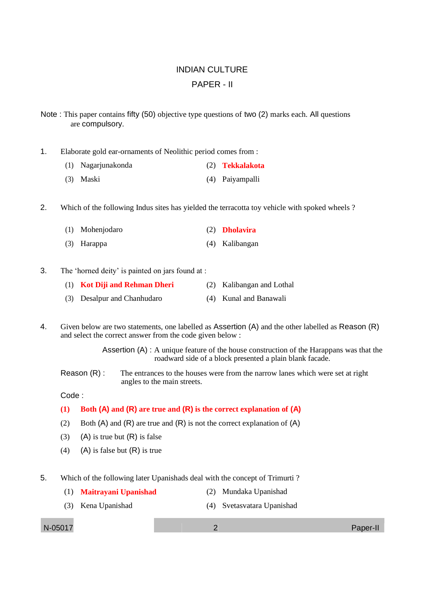## INDIAN CULTURE PAPER - II

Note : This paper contains fifty (50) objective type questions of two (2) marks each. All questions are compulsory.

1. Elaborate gold ear-ornaments of Neolithic period comes from :

- (1) Nagarjunakonda (2) **Tekkalakota**
- (3) Maski (4) Paiyampalli

2. Which of the following Indus sites has yielded the terracotta toy vehicle with spoked wheels ?

| (1) Mohenjodaro | (2) <b>Dholavira</b> |
|-----------------|----------------------|
| (3) Harappa     | (4) Kalibangan       |

3. The 'horned deity' is painted on jars found at :

| (1) Kot Diji and Rehman Dheri | (2) Kalibangan and Lothal |
|-------------------------------|---------------------------|
| (3) Desalpur and Chanhudaro   | (4) Kunal and Banawali    |

4. Given below are two statements, one labelled as Assertion (A) and the other labelled as Reason (R) and select the correct answer from the code given below :

> Assertion (A) : A unique feature of the house construction of the Harappans was that the roadward side of a block presented a plain blank facade.

Reason (R) : The entrances to the houses were from the narrow lanes which were set at right angles to the main streets.

Code :

## **(1) Both (A) and (R) are true and (R) is the correct explanation of (A)**

- (2) Both  $(A)$  and  $(R)$  are true and  $(R)$  is not the correct explanation of  $(A)$
- (3) (A) is true but  $(R)$  is false
- (4) (A) is false but  $(R)$  is true
- 5. Which of the following later Upanishads deal with the concept of Trimurti ?
	- (1) **Maitrayani Upanishad** (2) Mundaka Upanishad
	- (3) Kena Upanishad (4) Svetasvatara Upanishad

N-05017 2 Paper-II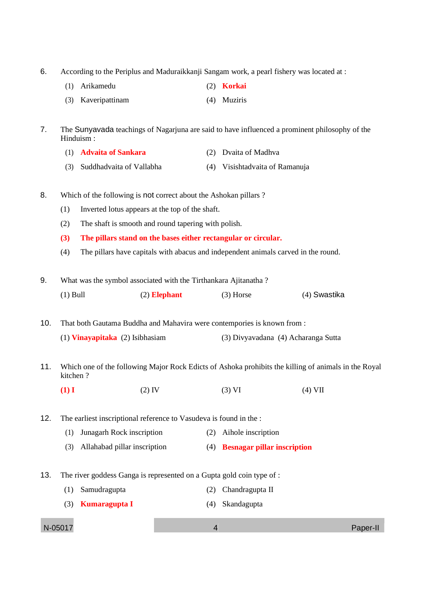6. According to the Periplus and Maduraikkanji Sangam work, a pearl fishery was located at :

|  | (1) Arikamedu |  | $(2)$ Korkai |
|--|---------------|--|--------------|
|--|---------------|--|--------------|

(3) Kaveripattinam (4) Muziris

7. The Sunyavada teachings of Nagarjuna are said to have influenced a prominent philosophy of the Hinduism :

- (1) **Advaita of Sankara** (2) Dvaita of Madhva
- (3) Suddhadvaita of Vallabha (4) Visishtadvaita of Ramanuja
- 8. Which of the following is not correct about the Ashokan pillars ?
	- (1) Inverted lotus appears at the top of the shaft.
	- (2) The shaft is smooth and round tapering with polish.
	- **(3) The pillars stand on the bases either rectangular or circular.**
	- (4) The pillars have capitals with abacus and independent animals carved in the round.

9. What was the symbol associated with the Tirthankara Ajitanatha ? (1) Bull (2) **Elephant** (3) Horse (4) Swastika

10. That both Gautama Buddha and Mahavira were contempories is known from : (1) **Vinayapitaka** (2) Isibhasiam (3) Divyavadana (4) Acharanga Sutta

11. Which one of the following Major Rock Edicts of Ashoka prohibits the killing of animals in the Royal kitchen ?

**(1) I** (2) IV (3) VI (4) VII

12. The earliest inscriptional reference to Vasudeva is found in the :

- (1) Junagarh Rock inscription (2) Aihole inscription
- (3) Allahabad pillar inscription (4) **Besnagar pillar inscription**
- 13. The river goddess Ganga is represented on a Gupta gold coin type of :
	- (1) Samudragupta (2) Chandragupta II
	- (3) **Kumaragupta I** (4) Skandagupta

N-05017 4 Paper-II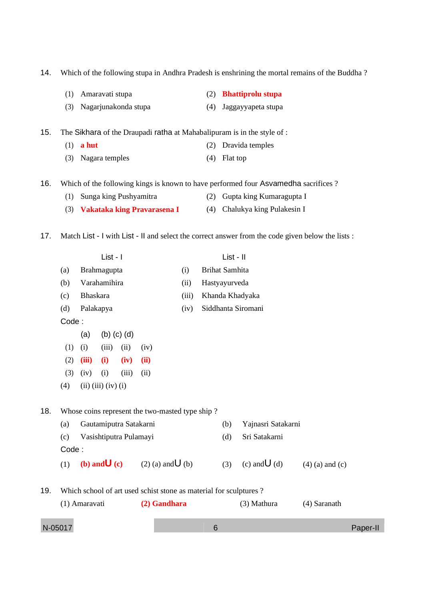|     | Amaravati stupa                                                                                   |               |                             |                        |                                                                   |       |                       |           |                                                |                   |
|-----|---------------------------------------------------------------------------------------------------|---------------|-----------------------------|------------------------|-------------------------------------------------------------------|-------|-----------------------|-----------|------------------------------------------------|-------------------|
|     | (1)<br>(3)                                                                                        |               |                             | Nagarjunakonda stupa   |                                                                   |       | (2)<br>(4)            |           | <b>Bhattiprolu stupa</b><br>Jaggayyapeta stupa |                   |
|     |                                                                                                   |               |                             |                        |                                                                   |       |                       |           |                                                |                   |
| 15. | The Sikhara of the Draupadi ratha at Mahabalipuram is in the style of :                           |               |                             |                        |                                                                   |       |                       |           |                                                |                   |
|     |                                                                                                   | $(1)$ a hut   |                             |                        |                                                                   |       | (2)                   |           | Dravida temples                                |                   |
|     | (3)                                                                                               |               | Nagara temples              |                        |                                                                   |       | (4)                   | Flat top  |                                                |                   |
| 16. | Which of the following kings is known to have performed four Asvamedha sacrifices?                |               |                             |                        |                                                                   |       |                       |           |                                                |                   |
|     | (1)                                                                                               |               |                             |                        | Sunga king Pushyamitra                                            |       | (2)                   |           | Gupta king Kumaragupta I                       |                   |
|     |                                                                                                   |               |                             |                        | (3) Vakataka king Pravarasena I                                   |       | (4)                   |           | Chalukya king Pulakesin I                      |                   |
|     |                                                                                                   |               |                             |                        |                                                                   |       |                       |           |                                                |                   |
| 17. | Match List - I with List - II and select the correct answer from the code given below the lists : |               |                             |                        |                                                                   |       |                       |           |                                                |                   |
|     |                                                                                                   |               | List - I                    |                        |                                                                   |       |                       | List - II |                                                |                   |
|     | (a)                                                                                               | Brahmagupta   |                             |                        |                                                                   | (i)   | <b>Brihat Samhita</b> |           |                                                |                   |
|     | (b)                                                                                               |               | Varahamihira                |                        |                                                                   | (ii)  | Hastyayurveda         |           |                                                |                   |
|     | (c)                                                                                               | Bhaskara      |                             |                        |                                                                   | (iii) | Khanda Khadyaka       |           |                                                |                   |
|     | (d)                                                                                               |               | Palakapya                   |                        |                                                                   | (iv)  | Siddhanta Siromani    |           |                                                |                   |
|     | Code:                                                                                             |               |                             |                        |                                                                   |       |                       |           |                                                |                   |
|     |                                                                                                   | (a)           |                             | $(b)$ $(c)$ $(d)$      |                                                                   |       |                       |           |                                                |                   |
|     | (1)                                                                                               | (i)           | (iii)                       | (ii)                   | (iv)                                                              |       |                       |           |                                                |                   |
|     | (2)                                                                                               | (iii)         | (i)                         | (iv)                   | (ii)                                                              |       |                       |           |                                                |                   |
|     | (3)                                                                                               | (iv)          | (i)                         | (iii)                  | (ii)                                                              |       |                       |           |                                                |                   |
|     | (4)                                                                                               |               | $(ii)$ $(iii)$ $(iv)$ $(i)$ |                        |                                                                   |       |                       |           |                                                |                   |
| 18. |                                                                                                   |               |                             |                        | Whose coins represent the two-masted type ship?                   |       |                       |           |                                                |                   |
|     | (a)                                                                                               |               |                             | Gautamiputra Satakarni |                                                                   |       |                       | (b)       | Yajnasri Satakarni                             |                   |
|     | (c)                                                                                               |               |                             | Vasishtiputra Pulamayi |                                                                   |       |                       | (d)       | Sri Satakarni                                  |                   |
|     | Code:                                                                                             |               |                             |                        |                                                                   |       |                       |           |                                                |                   |
|     | (1)                                                                                               |               | (b) and $\bigcup$ (c)       |                        | $(2)$ (a) and $\bigcup$ (b)                                       |       |                       | (3)       | (c) and $\bigcup$ (d)                          | $(4)$ (a) and (c) |
| 19. |                                                                                                   |               |                             |                        | Which school of art used schist stone as material for sculptures? |       |                       |           |                                                |                   |
|     |                                                                                                   | (1) Amaravati |                             |                        | (2) Gandhara                                                      |       |                       |           | (3) Mathura                                    | (4) Saranath      |
|     |                                                                                                   |               |                             |                        |                                                                   |       |                       |           |                                                |                   |

14. Which of the following stupa in Andhra Pradesh is enshrining the mortal remains of the Buddha ?

| N-05017 |  | Paper-II |
|---------|--|----------|
|---------|--|----------|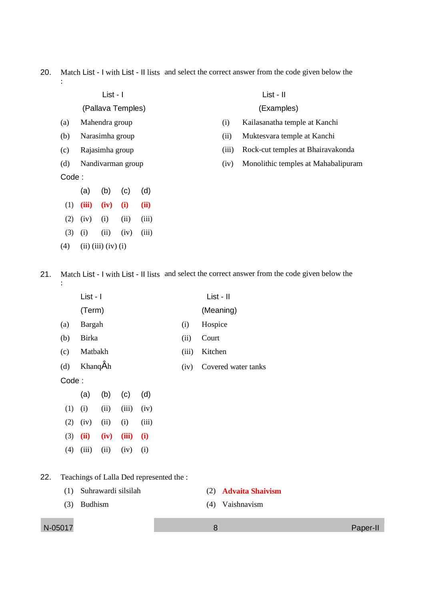## 20. Match List - I with List - II lists and select the correct answer from the code given below the :

| c<br>۰,<br>× |  |
|--------------|--|
|--------------|--|

(Pallava Temples)

- (a) Mahendra group
- (b) Narasimha group
- (c) Rajasimha group
- (d) Nandivarman group
- Code :
	- (a) (b) (c) (d)
	- (1) **(iii) (iv) (i) (ii)**  $(2)$   $(iv)$   $(i)$   $(ii)$   $(iii)$
	- (3) (i) (ii) (iv) (iii)
- (4) (iii) (iii) (iv) (i)

List - II

(Examples)

- (i) Kailasanatha temple at Kanchi
- (ii) Muktesvara temple at Kanchi
- (iii) Rock-cut temples at Bhairavakonda
- (iv) Monolithic temples at Mahabalipuram

21. Match List - I with List - II lists and select the correct answer from the code given below the :

|     |       | List - I        |      |       |                                          |       | List - II           |
|-----|-------|-----------------|------|-------|------------------------------------------|-------|---------------------|
|     |       | (Term)          |      |       |                                          |       | (Meaning)           |
|     | (a)   | <b>Bargah</b>   |      |       |                                          | (i)   | Hospice             |
|     | (b)   | <b>Birka</b>    |      |       |                                          | (ii)  | Court               |
|     | (c)   | Matbakh         |      |       |                                          | (iii) | Kitchen             |
|     | (d)   | <b>Khang</b> Ah |      |       |                                          | (iv)  | Covered water tanks |
|     | Code: |                 |      |       |                                          |       |                     |
|     |       | (a)             | (b)  | (c)   | (d)                                      |       |                     |
|     | (1)   | (i)             | (ii) | (iii) | (iv)                                     |       |                     |
|     | (2)   | (iv)            | (ii) | (i)   | (iii)                                    |       |                     |
|     | (3)   | (ii)            | (iv) | (iii) | (i)                                      |       |                     |
|     | (4)   | (iii)           | (ii) | (iv)  | (i)                                      |       |                     |
|     |       |                 |      |       |                                          |       |                     |
| 22. |       |                 |      |       | Teachings of Lalla Ded represented the : |       |                     |

- -

(1) Suhrawardi silsilah (2) **Advaita Shaivism**

(3) Budhism (4) Vaishnavism

N-05017 8 Paper-II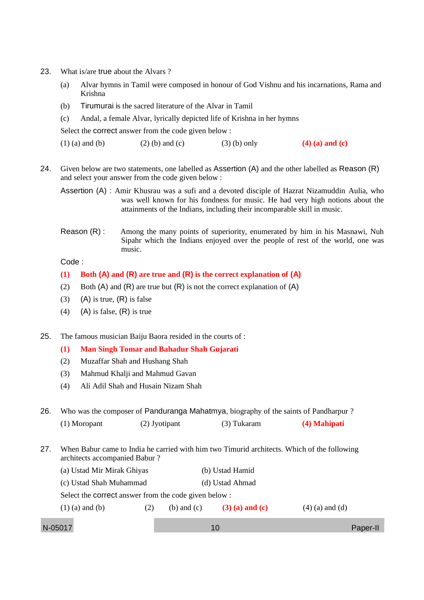- 23. What is/are true about the Alvars?
	- (a) Alvar hymns in Tamil were composed in honour of God Vishnu and his incarnations, Rama and Krishna
	- (b) Tirumurai is the sacred literature of the Alvar in Tamil
	- (c) Andal, a female Alvar, lyrically depicted life of Krishna in her hymns

Select the correct answer from the code given below :

- (1) (a) and (b) (2) (b) and (c) (3) (b) only **(4) (a) and (c)**
- 24. Given below are two statements, one labelled as Assertion (A) and the other labelled as Reason (R) and select your answer from the code given below :

Assertion (A) : Amir Khusrau was a sufi and a devoted disciple of Hazrat Nizamuddin Aulia, who was well known for his fondness for music. He had very high notions about the attainments of the Indians, including their incomparable skill in music.

Reason (R) : Among the many points of superiority, enumerated by him in his Masnawi, Nuh Sipahr which the Indians enjoyed over the people of rest of the world, one was music.

Code :

## **(1) Both (A) and (R) are true and (R) is the correct explanation of (A)**

- (2) Both (A) and (R) are true but  $(R)$  is not the correct explanation of  $(A)$
- $(3)$  (A) is true,  $(R)$  is false
- (4) (A) is false,  $(R)$  is true

25. The famous musician Baiju Baora resided in the courts of :

- **(1) Man Singh Tomar and Bahadur Shah Gujarati**
- (2) Muzaffar Shah and Hushang Shah
- (3) Mahmud Khalji and Mahmud Gavan
- (4) Ali Adil Shah and Husain Nizam Shah

26. Who was the composer of Panduranga Mahatmya, biography of the saints of Pandharpur ?

(1) Moropant (2) Jyotipant (3) Tukaram **(4) Mahipati**

- 27. When Babur came to India he carried with him two Timurid architects. Which of the following architects accompanied Babur ?
	- (a) Ustad Mir Mirak Ghiyas (b) Ustad Hamid
	- (c) Ustad Shah Muhammad (d) Ustad Ahmad

Select the correct answer from the code given below :

| $(1)$ (a) and (b) | $(2)$ (b) and (c) | $(3)$ (a) and (c) | $(4)$ (a) and (d) |
|-------------------|-------------------|-------------------|-------------------|
|                   |                   |                   |                   |

N-05017 10 Paper-II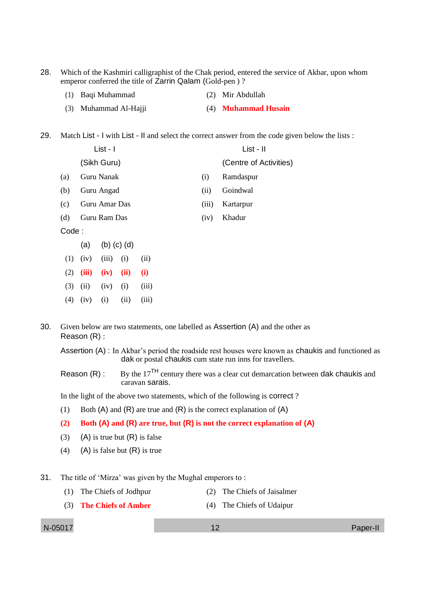28. Which of the Kashmiri calligraphist of the Chak period, entered the service of Akbar, upon whom emperor conferred the title of Zarrin Qalam (Gold-pen ) ?

| (1) Baqi Muhammad |  | (2) Mir Abdullah |
|-------------------|--|------------------|
|-------------------|--|------------------|

(3) Muhammad Al-Hajji (4) **Muhammad Husain**

29. Match List - I with List - II and select the correct answer from the code given below the lists :

|       | List - I      |       | List - II              |
|-------|---------------|-------|------------------------|
|       | (Sikh Guru)   |       | (Centre of Activities) |
| (a)   | Guru Nanak    | (1)   | Ramdaspur              |
| (b)   | Guru Angad    | (iii) | Goindwal               |
| (c)   | Guru Amar Das | (111) | Kartarpur              |
| (d)   | Guru Ram Das  | (iv)  | Khadur                 |
| Code: |               |       |                        |

- (a) (b) (c) (d)
- $(1)$   $(iv)$   $(iii)$   $(i)$   $(ii)$ (2) **(iii) (iv) (ii) (i)**
- $(3)$   $(ii)$   $(iv)$   $(i)$   $(iii)$
- (4) (iv) (i) (ii) (iii)

30. Given below are two statements, one labelled as Assertion (A) and the other as Reason (R) :

Assertion (A) : In Akbar's period the roadside rest houses were known as chaukis and functioned as dak or postal chaukis cum state run inns for travellers.

Reason (R) : By the 17<sup>TH</sup> century there was a clear cut demarcation between dak chaukis and caravan sarais.

In the light of the above two statements, which of the following is correct ?

- (1) Both  $(A)$  and  $(R)$  are true and  $(R)$  is the correct explanation of  $(A)$
- **(2) Both (A) and (R) are true, but (R) is not the correct explanation of (A)**
- (3) (A) is true but  $(R)$  is false
- (4) (A) is false but  $(R)$  is true
- 31. The title of 'Mirza' was given by the Mughal emperors to :
	- (1) The Chiefs of Jodhpur (2) The Chiefs of Jaisalmer
	- (3) **The Chiefs of Amber** (4) The Chiefs of Udaipur

N-05017 12 Paper-II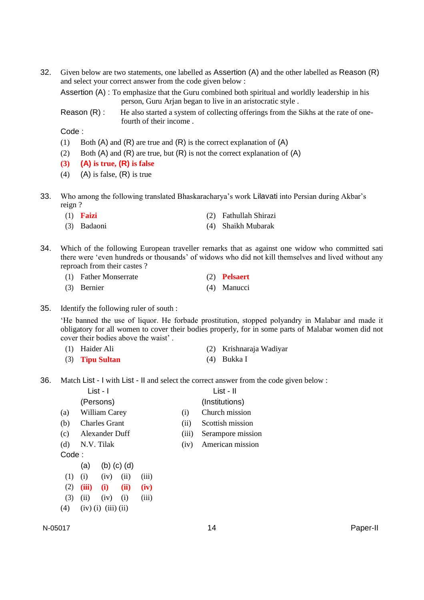32. Given below are two statements, one labelled as Assertion (A) and the other labelled as Reason (R) and select your correct answer from the code given below :

Assertion (A) : To emphasize that the Guru combined both spiritual and worldly leadership in his person, Guru Arjan began to live in an aristocratic style .

Reason  $(R)$ : He also started a system of collecting offerings from the Sikhs at the rate of onefourth of their income .

Code :

- (1) Both  $(A)$  and  $(R)$  are true and  $(R)$  is the correct explanation of  $(A)$
- (2) Both (A) and (R) are true, but (R) is not the correct explanation of (A)
- **(3) (A) is true, (R) is false**
- (4) (A) is false,  $(R)$  is true
- 33. Who among the following translated Bhaskaracharya's work Lilavati into Persian during Akbar's reign ?

|  | $(1)$ Faizi |  | (2) Fathullah Shirazi |
|--|-------------|--|-----------------------|
|--|-------------|--|-----------------------|

- (3) Badaoni (4) Shaikh Mubarak
- 34. Which of the following European traveller remarks that as against one widow who committed sati there were 'even hundreds or thousands' of widows who did not kill themselves and lived without any reproach from their castes ?
	- (1) Father Monserrate (2) **Pelsaert**
	- (3) Bernier (4) Manucci
- 35. Identify the following ruler of south :

'He banned the use of liquor. He forbade prostitution, stopped polyandry in Malabar and made it obligatory for all women to cover their bodies properly, for in some parts of Malabar women did not cover their bodies above the waist' .

- (1) Haider Ali (2) Krishnaraja Wadiyar
- (3) **Tipu Sultan** (4) Bukka I
- 36. Match List I with List II and select the correct answer from the code given below :

|       |     | List - I             |       |       | List - II         |
|-------|-----|----------------------|-------|-------|-------------------|
|       |     | (Persons)            |       |       | (Institutions)    |
| (a)   |     | William Carey        |       | (1)   | Church mission    |
| (b)   |     | <b>Charles Grant</b> |       | (i)   | Scottish mission  |
| (c)   |     | Alexander Duff       |       | (iii) | Serampore mission |
| (d)   |     | N.V. Tilak           |       | (1V)  | American mission  |
| Code: |     |                      |       |       |                   |
|       | (a) | $(b)$ $(c)$ $(d)$    |       |       |                   |
|       | (i) | (iv)<br>(ii)         | (iii) |       |                   |

- (2) **(iii) (i) (ii) (iv)**
- $(3)$   $(ii)$   $(iv)$   $(i)$   $(iii)$
- $(4)$   $(iv)$  (i) (iii) (ii)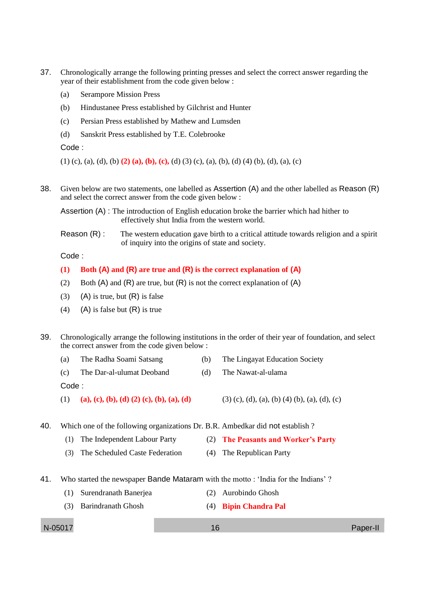- 37. Chronologically arrange the following printing presses and select the correct answer regarding the year of their establishment from the code given below :
	- (a) Serampore Mission Press
	- (b) Hindustanee Press established by Gilchrist and Hunter
	- (c) Persian Press established by Mathew and Lumsden
	- (d) Sanskrit Press established by T.E. Colebrooke

Code :

(1) (c), (a), (d), (b) **(2) (a), (b), (c),** (d) (3) (c), (a), (b), (d) (4) (b), (d), (a), (c)

38. Given below are two statements, one labelled as Assertion (A) and the other labelled as Reason (R) and select the correct answer from the code given below :

Assertion (A) : The introduction of English education broke the barrier which had hither to effectively shut India from the western world.

Reason  $(R)$ : The western education gave birth to a critical attitude towards religion and a spirit of inquiry into the origins of state and society.

Code :

- **(1) Both (A) and (R) are true and (R) is the correct explanation of (A)**
- (2) Both  $(A)$  and  $(R)$  are true, but  $(R)$  is not the correct explanation of  $(A)$
- (3) (A) is true, but  $(R)$  is false
- (4) (A) is false but  $(R)$  is true
- 39. Chronologically arrange the following institutions in the order of their year of foundation, and select the correct answer from the code given below :
	- (a) The Radha Soami Satsang (b) The Lingayat Education Society
	- (c) The Dar-al-ulumat Deoband (d) The Nawat-al-ulama

Code :

- (1) **(a), (c), (b), (d) (2) (c), (b), (a), (d)** (3) (c), (d), (a), (b) (4) (b), (a), (d), (c)
- 
- 40. Which one of the following organizations Dr. B.R. Ambedkar did not establish ?
	- (1) The Independent Labour Party (2) **The Peasants and Worker's Party**
	- (3) The Scheduled Caste Federation (4) The Republican Party
- 41. Who started the newspaper Bande Mataram with the motto : 'India for the Indians' ?
	- (1) Surendranath Banerjea (2) Aurobindo Ghosh
	- (3) Barindranath Ghosh (4) **Bipin Chandra Pal**

N-05017 16 Paper-II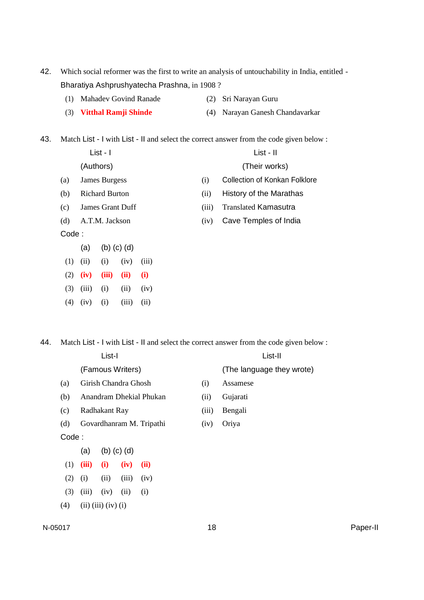- 42. Which social reformer was the first to write an analysis of untouchability in India, entitled Bharatiya Ashprushyatecha Prashna, in 1908 ?
	- (1) Mahadev Govind Ranade (2) Sri Narayan Guru
	- (3) **Vitthal Ramji Shinde** (4) Narayan Ganesh Chandavarkar

43. Match List - I with List - II and select the correct answer from the code given below :

|       | $List - I$              |       | List - II                            |
|-------|-------------------------|-------|--------------------------------------|
|       | (Authors)               |       | (Their works)                        |
| (a)   | James Burgess           | (i)   | <b>Collection of Konkan Folklore</b> |
| (b)   | <b>Richard Burton</b>   | (iii) | History of the Marathas              |
| (c)   | <b>James Grant Duff</b> | (iii) | <b>Translated Kamasutra</b>          |
| (d)   | A.T.M. Jackson          | (iv)  | Cave Temples of India                |
| Code: |                         |       |                                      |
|       | (a)<br>(d)<br>(D) (C)   |       |                                      |

- $(1)$   $(ii)$   $(i)$   $(iv)$   $(iii)$
- (2) **(iv) (iii) (ii) (i)**
- (3) (iii) (i) (ii) (iv)
- $(4)$   $(iv)$   $(i)$   $(iii)$   $(ii)$

44. Match List - I with List - II and select the correct answer from the code given below :

| List-I |                             |                   |       |      |  | List-II |                           |  |
|--------|-----------------------------|-------------------|-------|------|--|---------|---------------------------|--|
|        | (Famous Writers)            |                   |       |      |  |         | (The language they wrote) |  |
| (a)    | Girish Chandra Ghosh        |                   |       |      |  | (i)     | Assamese                  |  |
| (b)    | Anandram Dhekial Phukan     |                   |       |      |  | (ii)    | Gujarati                  |  |
| (c)    | Radhakant Ray               |                   |       |      |  | (iii)   | Bengali                   |  |
| (d)    | Govardhanram M. Tripathi    |                   |       |      |  | (iv)    | Oriya                     |  |
| Code:  |                             |                   |       |      |  |         |                           |  |
|        | (a)                         | $(b)$ $(c)$ $(d)$ |       |      |  |         |                           |  |
| (1)    | (iii)                       | (i)               | (iv)  | (ii) |  |         |                           |  |
| (2)    | (i)                         | (ii)              | (iii) | (iv) |  |         |                           |  |
| (3)    | (iii)                       | (iv)              | (ii)  | (i)  |  |         |                           |  |
| (4)    | $(ii)$ $(iii)$ $(iv)$ $(i)$ |                   |       |      |  |         |                           |  |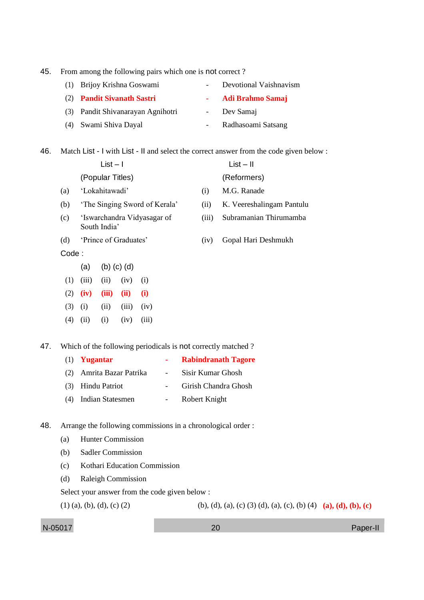45. From among the following pairs which one is not correct ?

(1) Brijoy Krishna Goswami - Devotional Vaishnavism (2) **Pandit Sivanath Sastri - Adi Brahmo Samaj**

(3) Pandit Shivanarayan Agnihotri - Dev Samaj

(4) Swami Shiva Dayal - Radhasoami Satsang

46. Match List - I with List - II and select the correct answer from the code given below :

|       | $List - I$<br>(Popular Titles)              |                       |                   |                               |       | $List - II$<br>(Reformers) |  |  |
|-------|---------------------------------------------|-----------------------|-------------------|-------------------------------|-------|----------------------------|--|--|
|       |                                             |                       |                   |                               |       |                            |  |  |
| (a)   |                                             | 'Lokahitawadi'        |                   |                               |       | M.G. Ranade                |  |  |
| (b)   |                                             |                       |                   | 'The Singing Sword of Kerala' | (ii)  | K. Veereshalingam Pantulu  |  |  |
| (c)   | 'Iswarchandra Vidyasagar of<br>South India' |                       |                   |                               | (iii) | Subramanian Thirumamba     |  |  |
| (d)   |                                             | 'Prince of Graduates' |                   |                               | (iv)  | Gopal Hari Deshmukh        |  |  |
| Code: |                                             |                       |                   |                               |       |                            |  |  |
|       | (a)                                         |                       | $(b)$ $(c)$ $(d)$ |                               |       |                            |  |  |
| (1)   | (iii)                                       | (ii)                  | (iv)              | (i)                           |       |                            |  |  |
| (2)   | (iv)                                        | (iii)                 | (ii)              | (i)                           |       |                            |  |  |
| (3)   | (i)                                         | (ii)                  | (iii)             | (iv)                          |       |                            |  |  |
| (4)   | (i)                                         | (i)                   | (iv)              | (iii)                         |       |                            |  |  |
|       |                                             |                       |                   |                               |       |                            |  |  |

47. Which of the following periodicals is not correctly matched ?

|     | $(1)$ Yugantar          |                          | <b>Rabindranath Tagore</b> |
|-----|-------------------------|--------------------------|----------------------------|
| (2) | Amrita Bazar Patrika    | $\overline{\phantom{a}}$ | Sisir Kumar Ghosh          |
|     | (3) Hindu Patriot       |                          | Girish Chandra Ghosh       |
| (4) | <b>Indian Statesmen</b> |                          | Robert Knight              |

48. Arrange the following commissions in a chronological order :

- (a) Hunter Commission
- (b) Sadler Commission
- (c) Kothari Education Commission
- (d) Raleigh Commission

Select your answer from the code given below :

(1) (a), (b), (d), (c) (2) (b), (d), (a), (c) (3) (d), (a), (c), (b) (4) (a), (d), (b), (c)

N-05017 20 Paper-II